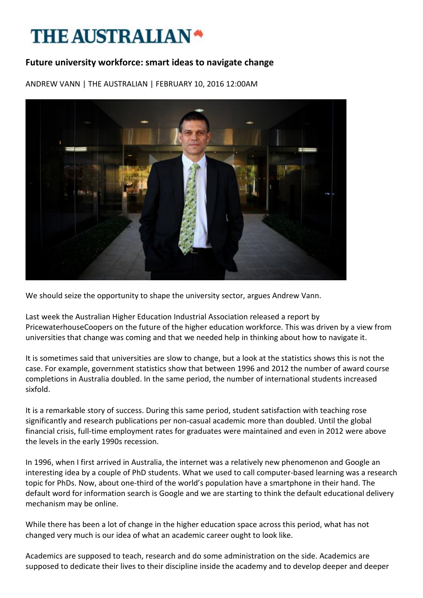## **THE AUSTRALIAN\***

## **Future university workforce: smart ideas to navigate change**

ANDREW VANN | THE AUSTRALIAN | FEBRUARY 10, 2016 12:00AM



We should seize the opportunity to shape the university sector, argues Andrew Vann.

Last week the Australian Higher Education Industrial Association released a report by PricewaterhouseCoopers on the future of the higher education workforce. This was driven by a view from universities that change was coming and that we needed help in thinking about how to navigate it.

It is sometimes said that universities are slow to change, but a look at the statistics shows this is not the case. For example, government statistics show that between 1996 and 2012 the number of award course completions in Australia doubled. In the same period, the number of international students increased sixfold.

It is a remarkable story of success. During this same period, student satisfaction with teaching rose significantly and research publications per non-casual academic more than doubled. Until the global financial crisis, full-time employment rates for graduates were maintained and even in 2012 were above the levels in the early 1990s recession.

In 1996, when I first arrived in Australia, the internet was a relatively new phenomenon and Google an interesting idea by a couple of PhD students. What we used to call computer-based learning was a research topic for PhDs. Now, about one-third of the world's population have a smartphone in their hand. The default word for information search is Google and we are starting to think the default educational delivery mechanism may be online.

While there has been a lot of change in the higher education space across this period, what has not changed very much is our idea of what an academic career ought to look like.

Academics are supposed to teach, research and do some administration on the side. Academics are supposed to dedicate their lives to their discipline inside the academy and to develop deeper and deeper